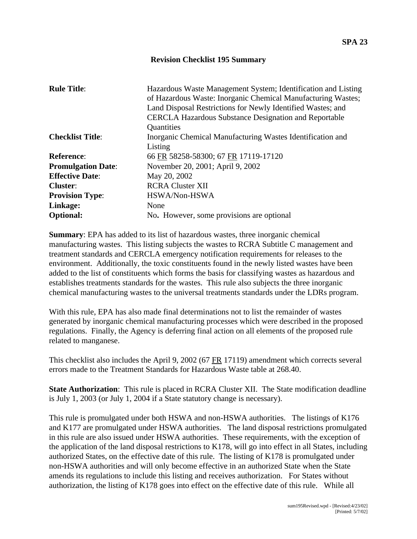## **Revision Checklist 195 Summary**

| <b>Rule Title:</b>        | Hazardous Waste Management System; Identification and Listing<br>of Hazardous Waste: Inorganic Chemical Manufacturing Wastes; |
|---------------------------|-------------------------------------------------------------------------------------------------------------------------------|
|                           | Land Disposal Restrictions for Newly Identified Wastes; and                                                                   |
|                           | <b>CERCLA Hazardous Substance Designation and Reportable</b>                                                                  |
|                           | Quantities                                                                                                                    |
| <b>Checklist Title:</b>   | Inorganic Chemical Manufacturing Wastes Identification and                                                                    |
|                           | Listing                                                                                                                       |
| <b>Reference:</b>         | 66 FR 58258-58300; 67 FR 17119-17120                                                                                          |
| <b>Promulgation Date:</b> | November 20, 2001; April 9, 2002                                                                                              |
| <b>Effective Date:</b>    | May 20, 2002                                                                                                                  |
| Cluster:                  | <b>RCRA Cluster XII</b>                                                                                                       |
| <b>Provision Type:</b>    | HSWA/Non-HSWA                                                                                                                 |
| Linkage:                  | None                                                                                                                          |
| <b>Optional:</b>          | No. However, some provisions are optional                                                                                     |

**Summary**: EPA has added to its list of hazardous wastes, three inorganic chemical manufacturing wastes. This listing subjects the wastes to RCRA Subtitle C management and treatment standards and CERCLA emergency notification requirements for releases to the environment. Additionally, the toxic constituents found in the newly listed wastes have been added to the list of constituents which forms the basis for classifying wastes as hazardous and establishes treatments standards for the wastes. This rule also subjects the three inorganic chemical manufacturing wastes to the universal treatments standards under the LDRs program.

With this rule, EPA has also made final determinations not to list the remainder of wastes generated by inorganic chemical manufacturing processes which were described in the proposed regulations. Finally, the Agency is deferring final action on all elements of the proposed rule related to manganese.

This checklist also includes the April 9, 2002 (67 FR 17119) amendment which corrects several errors made to the Treatment Standards for Hazardous Waste table at 268.40.

**State Authorization**: This rule is placed in RCRA Cluster XII. The State modification deadline is July 1, 2003 (or July 1, 2004 if a State statutory change is necessary).

This rule is promulgated under both HSWA and non-HSWA authorities. The listings of K176 and K177 are promulgated under HSWA authorities. The land disposal restrictions promulgated in this rule are also issued under HSWA authorities. These requirements, with the exception of the application of the land disposal restrictions to K178, will go into effect in all States, including authorized States, on the effective date of this rule. The listing of K178 is promulgated under non-HSWA authorities and will only become effective in an authorized State when the State amends its regulations to include this listing and receives authorization. For States without authorization, the listing of K178 goes into effect on the effective date of this rule. While all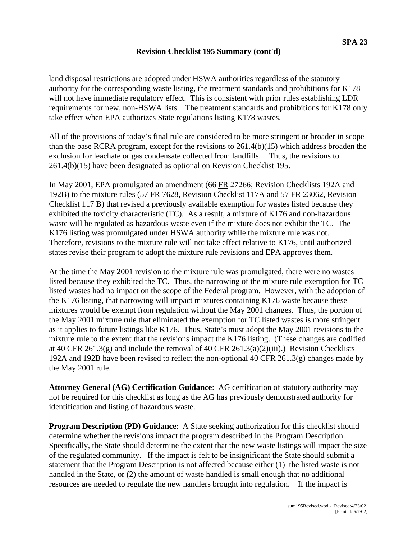## **Revision Checklist 195 Summary (cont'd)**

land disposal restrictions are adopted under HSWA authorities regardless of the statutory authority for the corresponding waste listing, the treatment standards and prohibitions for K178 will not have immediate regulatory effect. This is consistent with prior rules establishing LDR requirements for new, non-HSWA lists. The treatment standards and prohibitions for K178 only take effect when EPA authorizes State regulations listing K178 wastes.

All of the provisions of today's final rule are considered to be more stringent or broader in scope than the base RCRA program, except for the revisions to 261.4(b)(15) which address broaden the exclusion for leachate or gas condensate collected from landfills. Thus, the revisions to 261.4(b)(15) have been designated as optional on Revision Checklist 195.

In May 2001, EPA promulgated an amendment (66 FR 27266; Revision Checklists 192A and 192B) to the mixture rules (57 FR 7628, Revision Checklist 117A and 57 FR 23062, Revision Checklist 117 B) that revised a previously available exemption for wastes listed because they exhibited the toxicity characteristic (TC). As a result, a mixture of K176 and non-hazardous waste will be regulated as hazardous waste even if the mixture does not exhibit the TC. The K176 listing was promulgated under HSWA authority while the mixture rule was not. Therefore, revisions to the mixture rule will not take effect relative to K176, until authorized states revise their program to adopt the mixture rule revisions and EPA approves them.

At the time the May 2001 revision to the mixture rule was promulgated, there were no wastes listed because they exhibited the TC. Thus, the narrowing of the mixture rule exemption for TC listed wastes had no impact on the scope of the Federal program. However, with the adoption of the K176 listing, that narrowing will impact mixtures containing K176 waste because these mixtures would be exempt from regulation without the May 2001 changes. Thus, the portion of the May 2001 mixture rule that eliminated the exemption for TC listed wastes is more stringent as it applies to future listings like K176. Thus, State's must adopt the May 2001 revisions to the mixture rule to the extent that the revisions impact the K176 listing. (These changes are codified at 40 CFR 261.3(g) and include the removal of 40 CFR 261.3(a)(2)(iii).) Revision Checklists 192A and 192B have been revised to reflect the non-optional 40 CFR 261.3(g) changes made by the May 2001 rule.

**Attorney General (AG) Certification Guidance**: AG certification of statutory authority may not be required for this checklist as long as the AG has previously demonstrated authority for identification and listing of hazardous waste.

**Program Description (PD) Guidance:** A State seeking authorization for this checklist should determine whether the revisions impact the program described in the Program Description. Specifically, the State should determine the extent that the new waste listings will impact the size of the regulated community. If the impact is felt to be insignificant the State should submit a statement that the Program Description is not affected because either (1) the listed waste is not handled in the State, or (2) the amount of waste handled is small enough that no additional resources are needed to regulate the new handlers brought into regulation. If the impact is